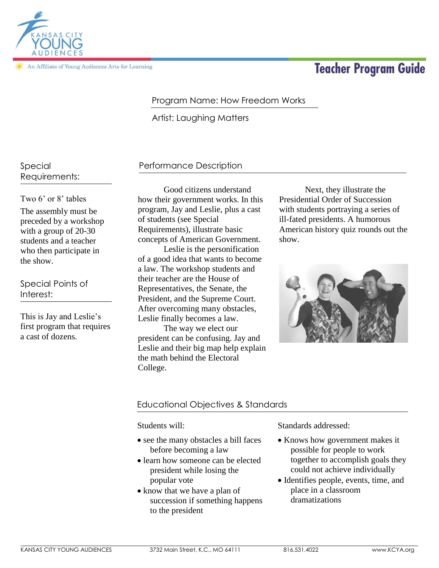

An Affiliate of Young Audiences Arts for Learning

# **Teacher Program Guide**

## Program Name: How Freedom Works

Artist: Laughing Matters

## Special Requirements:

Two 6' or 8' tables The assembly must be preceded by a workshop with a group of 20-30 students and a teacher who then participate in the show.

Special Points of Interest:

This is Jay and Leslie's first program that requires a cast of dozens.

## Performance Description

Good citizens understand how their government works. In this program, Jay and Leslie, plus a cast of students (see Special Requirements), illustrate basic concepts of American Government.

Leslie is the personification of a good idea that wants to become a law. The workshop students and their teacher are the House of Representatives, the Senate, the President, and the Supreme Court. After overcoming many obstacles, Leslie finally becomes a law.

The way we elect our president can be confusing. Jay and Leslie and their big map help explain the math behind the Electoral College.

Next, they illustrate the Presidential Order of Succession with students portraying a series of ill-fated presidents. A humorous American history quiz rounds out the show.



## Educational Objectives & Standards

Students will:

- see the many obstacles a bill faces before becoming a law
- learn how someone can be elected president while losing the popular vote
- know that we have a plan of succession if something happens to the president

Standards addressed:

- Knows how government makes it possible for people to work together to accomplish goals they could not achieve individually
- Identifies people, events, time, and place in a classroom dramatizations